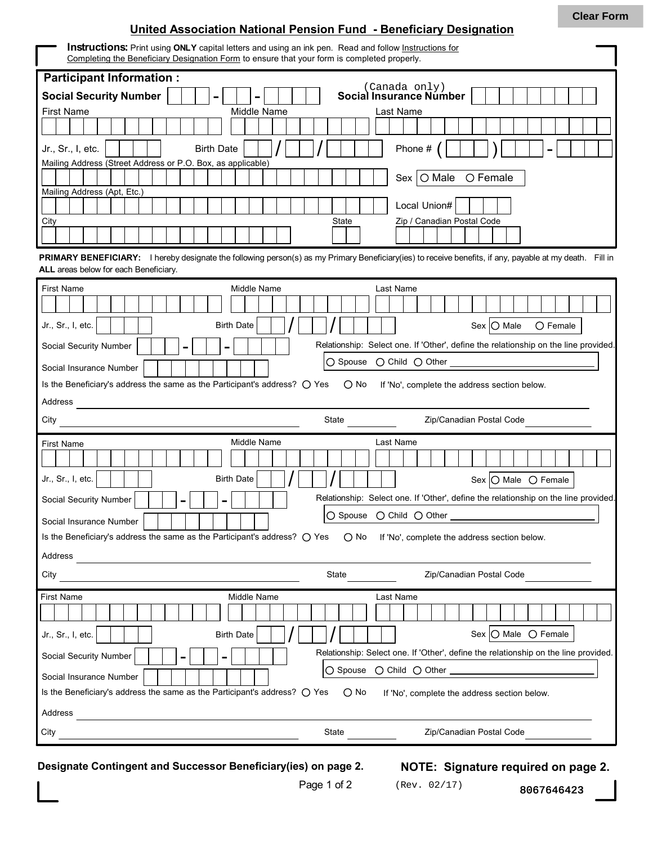## **United Association National Pension Fund - Beneficiary Designation**

| <b>Instructions:</b> Print using ONLY capital letters and using an ink pen. Read and follow <b>Instructions</b> for<br>Completing the Beneficiary Designation Form to ensure that your form is completed properly. |  |  |  |  |  |  |  |  |  |
|--------------------------------------------------------------------------------------------------------------------------------------------------------------------------------------------------------------------|--|--|--|--|--|--|--|--|--|
| <b>Participant Information:</b>                                                                                                                                                                                    |  |  |  |  |  |  |  |  |  |
| (Canada only)<br>Social Insurance Number<br><b>Social Security Number</b>                                                                                                                                          |  |  |  |  |  |  |  |  |  |
| <b>First Name</b><br>Middle Name<br>Last Name                                                                                                                                                                      |  |  |  |  |  |  |  |  |  |
|                                                                                                                                                                                                                    |  |  |  |  |  |  |  |  |  |
| Phone $#$<br><b>Birth Date</b><br>Jr., Sr., I, etc.                                                                                                                                                                |  |  |  |  |  |  |  |  |  |
| Mailing Address (Street Address or P.O. Box, as applicable)                                                                                                                                                        |  |  |  |  |  |  |  |  |  |
| Sex $\overline{)$ O Male $\overline{)}$ C Female<br>Mailing Address (Apt, Etc.)                                                                                                                                    |  |  |  |  |  |  |  |  |  |
| Local Union#                                                                                                                                                                                                       |  |  |  |  |  |  |  |  |  |
| <b>State</b><br>Zip / Canadian Postal Code<br>City                                                                                                                                                                 |  |  |  |  |  |  |  |  |  |
|                                                                                                                                                                                                                    |  |  |  |  |  |  |  |  |  |
| PRIMARY BENEFICIARY: I hereby designate the following person(s) as my Primary Beneficiary(ies) to receive benefits, if any, payable at my death. Fill in                                                           |  |  |  |  |  |  |  |  |  |
| ALL areas below for each Beneficiary.                                                                                                                                                                              |  |  |  |  |  |  |  |  |  |
| <b>First Name</b><br>Middle Name<br>Last Name                                                                                                                                                                      |  |  |  |  |  |  |  |  |  |
|                                                                                                                                                                                                                    |  |  |  |  |  |  |  |  |  |
| Sex O Male<br>Jr., Sr., I, etc.<br><b>Birth Date</b><br>$\bigcirc$ Female                                                                                                                                          |  |  |  |  |  |  |  |  |  |
| Relationship: Select one. If 'Other', define the relationship on the line provided.<br>Social Security Number<br>-                                                                                                 |  |  |  |  |  |  |  |  |  |
| Social Insurance Number                                                                                                                                                                                            |  |  |  |  |  |  |  |  |  |
| Is the Beneficiary's address the same as the Participant's address? $\bigcirc$ Yes<br>$\bigcirc$ No<br>If 'No', complete the address section below.                                                                |  |  |  |  |  |  |  |  |  |
| Address                                                                                                                                                                                                            |  |  |  |  |  |  |  |  |  |
|                                                                                                                                                                                                                    |  |  |  |  |  |  |  |  |  |
| State<br>Zip/Canadian Postal Code<br>City                                                                                                                                                                          |  |  |  |  |  |  |  |  |  |
| Middle Name<br>Last Name<br><b>First Name</b>                                                                                                                                                                      |  |  |  |  |  |  |  |  |  |
|                                                                                                                                                                                                                    |  |  |  |  |  |  |  |  |  |
| <b>Birth Date</b><br>Jr., Sr., I, etc.<br>Sex $\bigcirc$ Male $\bigcirc$ Female                                                                                                                                    |  |  |  |  |  |  |  |  |  |
| Relationship: Select one. If 'Other', define the relationship on the line provided.<br>Social Security Number<br>Ξ.                                                                                                |  |  |  |  |  |  |  |  |  |
| ○ Spouse ○ Child ○ Other                                                                                                                                                                                           |  |  |  |  |  |  |  |  |  |
| Social Insurance Number<br>Is the Beneficiary's address the same as the Participant's address? $\bigcirc$ Yes<br>$\bigcirc$ No<br>If 'No', complete the address section below.                                     |  |  |  |  |  |  |  |  |  |
| Address                                                                                                                                                                                                            |  |  |  |  |  |  |  |  |  |
| State<br>Zip/Canadian Postal Code<br>City                                                                                                                                                                          |  |  |  |  |  |  |  |  |  |
| Middle Name<br><b>First Name</b><br>Last Name                                                                                                                                                                      |  |  |  |  |  |  |  |  |  |
|                                                                                                                                                                                                                    |  |  |  |  |  |  |  |  |  |
| Sex $\bigcirc$ Male $\bigcirc$ Female<br><b>Birth Date</b><br>Jr., Sr., I, etc.                                                                                                                                    |  |  |  |  |  |  |  |  |  |
| Relationship: Select one. If 'Other', define the relationship on the line provided.<br>Social Security Number                                                                                                      |  |  |  |  |  |  |  |  |  |
| Social Insurance Number                                                                                                                                                                                            |  |  |  |  |  |  |  |  |  |
| Is the Beneficiary's address the same as the Participant's address? $\bigcirc$ Yes<br>$\bigcirc$ No<br>If 'No', complete the address section below.                                                                |  |  |  |  |  |  |  |  |  |
| Address                                                                                                                                                                                                            |  |  |  |  |  |  |  |  |  |

**Designate Contingent and Successor Beneficiary(ies) on page 2. NOTE: Signature required on page 2.**

8067646423

(Rev. 02/17)

Page 1 of 2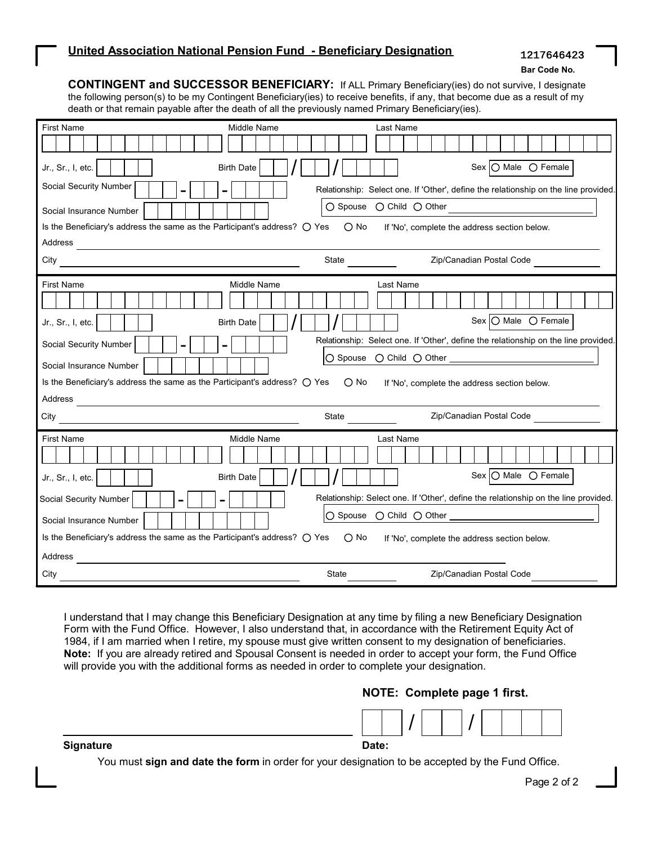**Bar Code No.**

**CONTINGENT and SUCCESSOR BENEFICIARY:** If ALL Primary Beneficiary(ies) do not survive, I designate the following person(s) to be my Contingent Beneficiary(ies) to receive benefits, if any, that become due as a result of my death or that remain payable after the death of all the previously named Primary Beneficiary(ies).

| <b>First Name</b>                                                                                                                | Middle Name              |               | Last Name |                                                                                     |                 |  |
|----------------------------------------------------------------------------------------------------------------------------------|--------------------------|---------------|-----------|-------------------------------------------------------------------------------------|-----------------|--|
|                                                                                                                                  |                          |               |           |                                                                                     |                 |  |
| Jr., Sr., I, etc.                                                                                                                | <b>Birth Date</b>        |               |           | Sex $\bigcirc$ Male $\bigcirc$ Female                                               |                 |  |
| Social Security Number<br>-                                                                                                      | $\overline{\phantom{0}}$ |               |           | Relationship: Select one. If 'Other', define the relationship on the line provided. |                 |  |
| Social Insurance Number                                                                                                          |                          |               |           |                                                                                     |                 |  |
| Is the Beneficiary's address the same as the Participant's address? O Yes O No If 'No', complete the address section below.      |                          |               |           |                                                                                     |                 |  |
| Address<br><u> 1989 - Johann Stein, Amerikaansk politiker († 1908)</u>                                                           |                          |               |           |                                                                                     |                 |  |
| City                                                                                                                             |                          | <b>State</b>  |           | Zip/Canadian Postal Code                                                            |                 |  |
| <b>First Name</b>                                                                                                                | Middle Name              |               | Last Name |                                                                                     |                 |  |
|                                                                                                                                  |                          |               |           |                                                                                     |                 |  |
| Jr., Sr., I, etc.                                                                                                                | <b>Birth Date</b>        |               |           | Sex   O Male O Female                                                               |                 |  |
| Social Security Number                                                                                                           | -                        |               |           | Relationship: Select one. If 'Other', define the relationship on the line provided. |                 |  |
| Social Insurance Number                                                                                                          |                          |               |           |                                                                                     |                 |  |
| Is the Beneficiary's address the same as the Participant's address? $\bigcirc$ Yes                                               |                          | $\bigcirc$ No |           | If 'No', complete the address section below.                                        |                 |  |
| Address<br><u> 1989 - Johann Harry Harry Harry Harry Harry Harry Harry Harry Harry Harry Harry Harry Harry Harry Harry Harry</u> |                          |               |           |                                                                                     |                 |  |
| City                                                                                                                             |                          | State         |           | Zip/Canadian Postal Code                                                            |                 |  |
| <b>First Name</b>                                                                                                                | Middle Name              |               | Last Name |                                                                                     |                 |  |
|                                                                                                                                  |                          |               |           |                                                                                     |                 |  |
| Jr., Sr., I, etc.                                                                                                                | <b>Birth Date</b>        |               |           | Sex                                                                                 | O Male O Female |  |
| Social Security Number<br>$\blacksquare$                                                                                         | $\blacksquare$           |               |           | Relationship: Select one. If 'Other', define the relationship on the line provided. |                 |  |
| Social Insurance Number                                                                                                          |                          |               |           |                                                                                     |                 |  |
| Is the Beneficiary's address the same as the Participant's address? O Yes O No If 'No', complete the address section below.      |                          |               |           |                                                                                     |                 |  |
| Address                                                                                                                          |                          |               |           |                                                                                     |                 |  |
| City                                                                                                                             |                          | <b>State</b>  |           | Zip/Canadian Postal Code                                                            |                 |  |

I understand that I may change this Beneficiary Designation at any time by filing a new Beneficiary Designation Form with the Fund Office. However, I also understand that, in accordance with the Retirement Equity Act of 1984, if I am married when I retire, my spouse must give written consent to my designation of beneficiaries. **Note:** If you are already retired and Spousal Consent is needed in order to accept your form, the Fund Office will provide you with the additional forms as needed in order to complete your designation.

## **NOTE: Complete page 1 first.**



**Signature**

**Date:**

You must **sign and date the form** in order for your designation to be accepted by the Fund Office.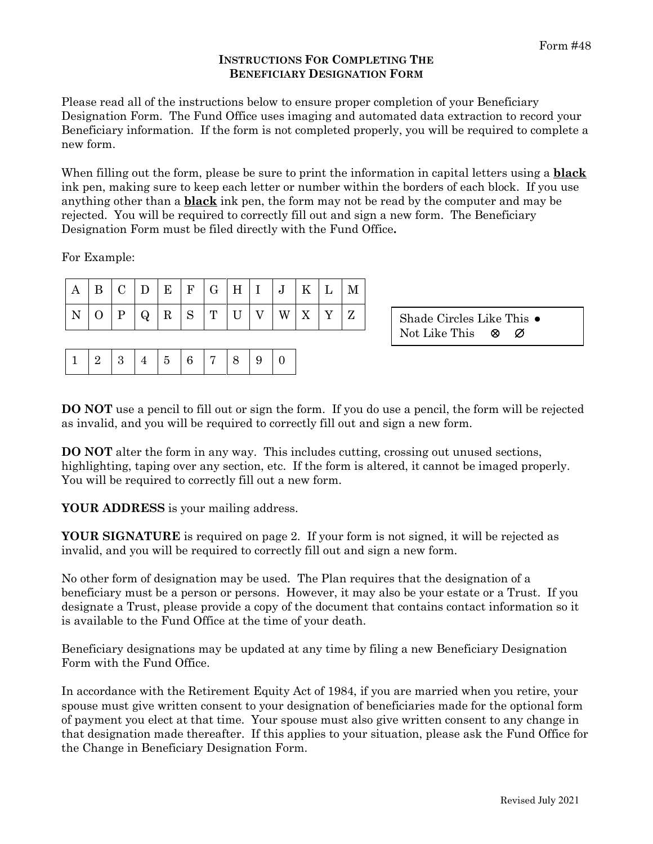## **INSTRUCTIONS FOR COMPLETING THE BENEFICIARY DESIGNATION FORM**

Please read all of the instructions below to ensure proper completion of your Beneficiary Designation Form. The Fund Office uses imaging and automated data extraction to record your Beneficiary information. If the form is not completed properly, you will be required to complete a new form.

When filling out the form, please be sure to print the information in capital letters using a **black** ink pen, making sure to keep each letter or number within the borders of each block. If you use anything other than a **black** ink pen, the form may not be read by the computer and may be rejected. You will be required to correctly fill out and sign a new form. The Beneficiary Designation Form must be filed directly with the Fund Office**.**

For Example:

| $\mathbf C$<br>$\overline{r}$<br>$\mathbf R$<br>$\mathbf{u}$<br>W<br>$\mathbf{v}$<br>7<br>N<br>Shade Circles Like This •<br>Q<br>Δ<br>∠<br>N | A | B | $\cap$ | E | $\mathbf{F}$ | $\rm G$ | H |  | TZ. | M |                            |
|----------------------------------------------------------------------------------------------------------------------------------------------|---|---|--------|---|--------------|---------|---|--|-----|---|----------------------------|
|                                                                                                                                              |   |   |        |   |              |         |   |  |     |   | Not Like This<br>- Ø<br>ା⊗ |

**DO NOT** use a pencil to fill out or sign the form. If you do use a pencil, the form will be rejected as invalid, and you will be required to correctly fill out and sign a new form.

**DO NOT** alter the form in any way. This includes cutting, crossing out unused sections, highlighting, taping over any section, etc. If the form is altered, it cannot be imaged properly. You will be required to correctly fill out a new form.

**YOUR ADDRESS** is your mailing address.

**YOUR SIGNATURE** is required on page 2. If your form is not signed, it will be rejected as invalid, and you will be required to correctly fill out and sign a new form.

No other form of designation may be used. The Plan requires that the designation of a beneficiary must be a person or persons. However, it may also be your estate or a Trust. If you designate a Trust, please provide a copy of the document that contains contact information so it is available to the Fund Office at the time of your death.

Beneficiary designations may be updated at any time by filing a new Beneficiary Designation Form with the Fund Office.

In accordance with the Retirement Equity Act of 1984, if you are married when you retire, your spouse must give written consent to your designation of beneficiaries made for the optional form of payment you elect at that time. Your spouse must also give written consent to any change in that designation made thereafter. If this applies to your situation, please ask the Fund Office for the Change in Beneficiary Designation Form.